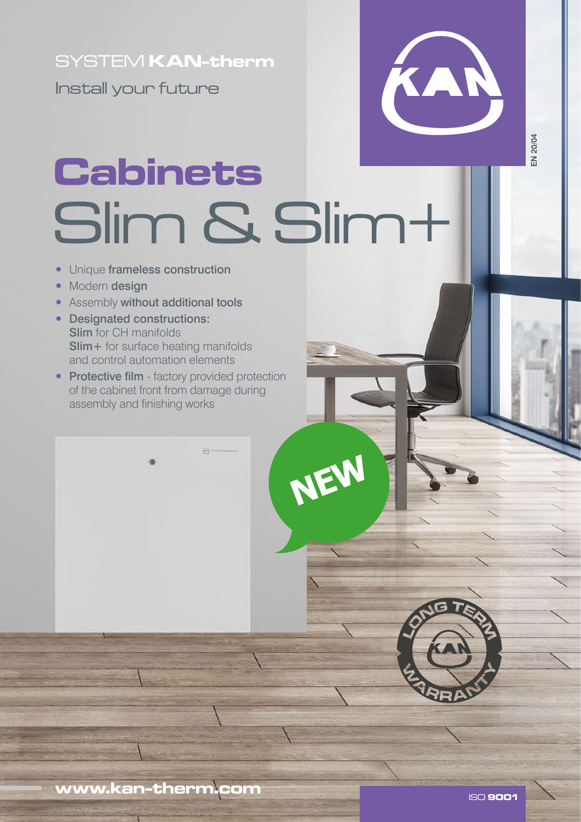### SYSTEM KAN-therm Install your future

# $Sim & Slim +$ **Cabinets**

**NEW**

- Unique frameless construction
- Modern design
- Assembly without additional tools
- Designated constructions: **Slim** for CH manifolds Slim+ for surface heating manifolds and control automation elements
- Protective film factory provided protection of the cabinet front from damage during assembly and finishing works

EN 20/04

KAI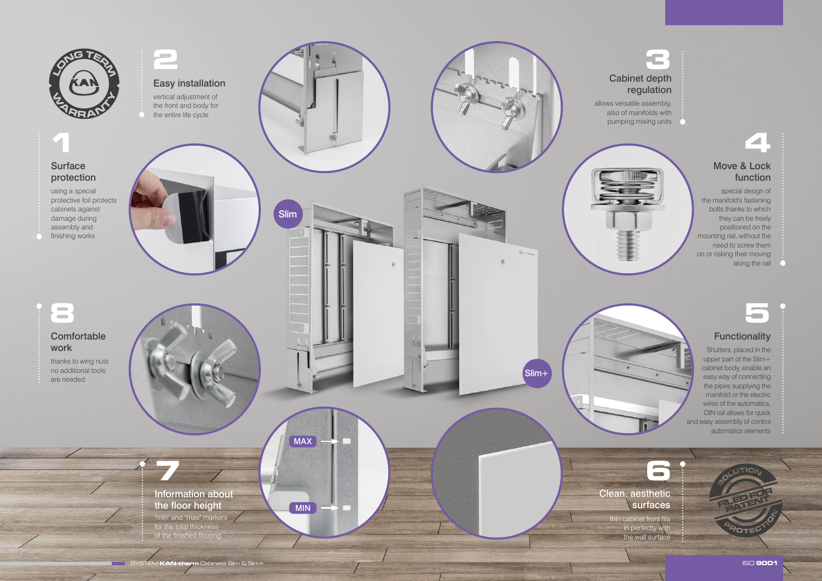5

### Cabinet depth regulation

Clean, aesthetic surfaces transferences<br> **the wall surfaces**<br>
surfaces<br>
the wall surface

allows versatile assembly, also of manifolds with pumping mixing units

> thin cabinet front fits in perfectly with<br>the wall surface







Shutters, placed in the upper part of the Slim+ cabinet body, enable an easy way of connecting the pipes supplying the manifold or the electric wires of the automatics, DIN rail allows for quick and easy assembly of control automatics elements

### Move & Lock function

special design of the manifold's fastening bolts thanks to which they can be freely positioned on the mounting rail, without the need to screw them on or risking their moving along the rail

### **Functionality**

ROTEC